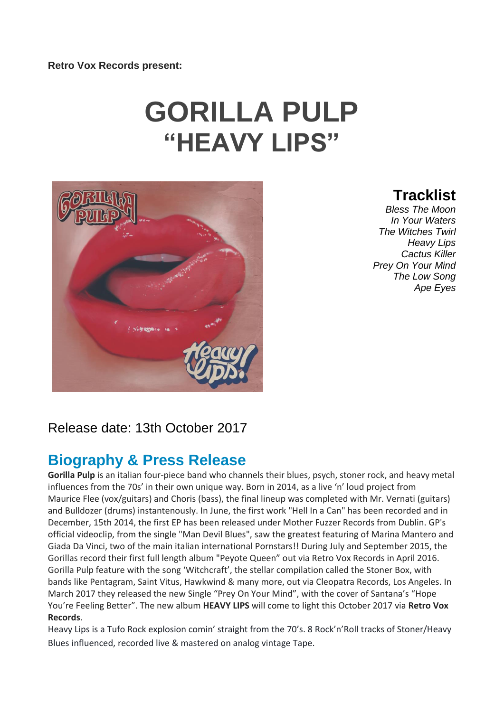# **GORILLA PULP "HEAVY LIPS"**



**Tracklist**

*Bless The Moon In Your Waters The Witches Twirl Heavy Lips Cactus Killer Prey On Your Mind The Low Song Ape Eyes*

## Release date: 13th October 2017

## **Biography & Press Release**

**Gorilla Pulp** is an italian four-piece band who channels their blues, psych, stoner rock, and heavy metal influences from the 70s' in their own unique way. Born in 2014, as a live 'n' loud project from Maurice Flee (vox/guitars) and Choris (bass), the final lineup was completed with Mr. Vernati (guitars) and Bulldozer (drums) instantenously. In June, the first work "Hell In a Can" has been recorded and in December, 15th 2014, the first EP has been released under Mother Fuzzer Records from Dublin. GP's official videoclip, from the single "Man Devil Blues", saw the greatest featuring of Marina Mantero and Giada Da Vinci, two of the main italian international Pornstars!! During July and September 2015, the Gorillas record their first full length album "Peyote Queen" out via Retro Vox Records in April 2016. Gorilla Pulp feature with the song 'Witchcraft', the stellar compilation called the Stoner Box, with bands like Pentagram, Saint Vitus, Hawkwind & many more, out via Cleopatra Records, Los Angeles. In March 2017 they released the new Single "Prey On Your Mind", with the cover of Santana's "Hope You're Feeling Better". The new album **HEAVY LIPS** will come to light this October 2017 via **Retro Vox Records**.

Heavy Lips is a Tufo Rock explosion comin' straight from the 70's. 8 Rock'n'Roll tracks of Stoner/Heavy Blues influenced, recorded live & mastered on analog vintage Tape.